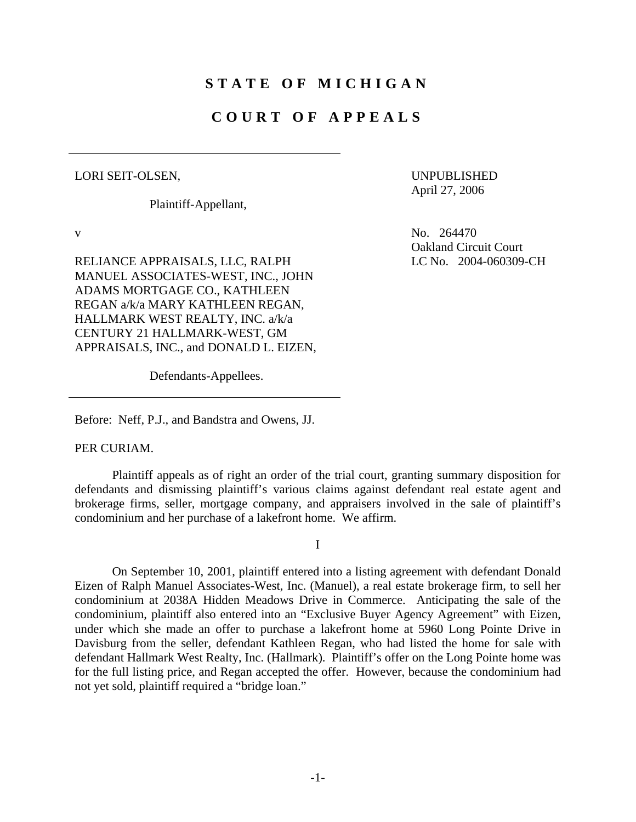## **STATE OF MICHIGAN**

# **COURT OF APPEALS**

#### LORI SEIT-OLSEN,

v

Plaintiff-Appellant,

 UNPUBLISHED April 27, 2006

No. 264470 Oakland Circuit Court LC No. 2004-060309-CH

RELIANCE APPRAISALS, LLC, RALPH MANUEL ASSOCIATES-WEST, INC., JOHN ADAMS MORTGAGE CO., KATHLEEN REGAN a/k/a MARY KATHLEEN REGAN, HALLMARK WEST REALTY, INC. a/k/a CENTURY 21 HALLMARK-WEST, GM APPRAISALS, INC., and DONALD L. EIZEN,

Defendants-Appellees.

Before: Neff, P.J., and Bandstra and Owens, JJ.

PER CURIAM.

Plaintiff appeals as of right an order of the trial court, granting summary disposition for defendants and dismissing plaintiff's various claims against defendant real estate agent and brokerage firms, seller, mortgage company, and appraisers involved in the sale of plaintiff's condominium and her purchase of a lakefront home. We affirm.

I

On September 10, 2001, plaintiff entered into a listing agreement with defendant Donald Eizen of Ralph Manuel Associates-West, Inc. (Manuel), a real estate brokerage firm, to sell her condominium at 2038A Hidden Meadows Drive in Commerce. Anticipating the sale of the condominium, plaintiff also entered into an "Exclusive Buyer Agency Agreement" with Eizen, under which she made an offer to purchase a lakefront home at 5960 Long Pointe Drive in Davisburg from the seller, defendant Kathleen Regan, who had listed the home for sale with defendant Hallmark West Realty, Inc. (Hallmark). Plaintiff's offer on the Long Pointe home was for the full listing price, and Regan accepted the offer. However, because the condominium had not yet sold, plaintiff required a "bridge loan."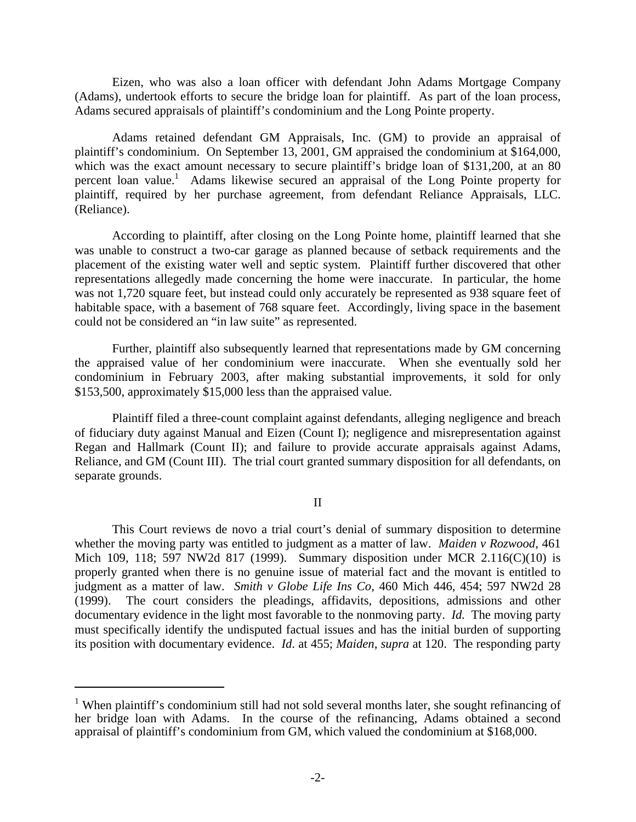Eizen, who was also a loan officer with defendant John Adams Mortgage Company (Adams), undertook efforts to secure the bridge loan for plaintiff. As part of the loan process, Adams secured appraisals of plaintiff's condominium and the Long Pointe property.

Adams retained defendant GM Appraisals, Inc. (GM) to provide an appraisal of plaintiff's condominium. On September 13, 2001, GM appraised the condominium at \$164,000, which was the exact amount necessary to secure plaintiff's bridge loan of \$131,200, at an 80 percent loan value.<sup>1</sup> Adams likewise secured an appraisal of the Long Pointe property for plaintiff, required by her purchase agreement, from defendant Reliance Appraisals, LLC. (Reliance).

According to plaintiff, after closing on the Long Pointe home, plaintiff learned that she was unable to construct a two-car garage as planned because of setback requirements and the placement of the existing water well and septic system. Plaintiff further discovered that other representations allegedly made concerning the home were inaccurate. In particular, the home was not 1,720 square feet, but instead could only accurately be represented as 938 square feet of habitable space, with a basement of 768 square feet. Accordingly, living space in the basement could not be considered an "in law suite" as represented.

Further, plaintiff also subsequently learned that representations made by GM concerning the appraised value of her condominium were inaccurate. When she eventually sold her condominium in February 2003, after making substantial improvements, it sold for only \$153,500, approximately \$15,000 less than the appraised value.

Plaintiff filed a three-count complaint against defendants, alleging negligence and breach of fiduciary duty against Manual and Eizen (Count I); negligence and misrepresentation against Regan and Hallmark (Count II); and failure to provide accurate appraisals against Adams, Reliance, and GM (Count III). The trial court granted summary disposition for all defendants, on separate grounds.

II

This Court reviews de novo a trial court's denial of summary disposition to determine whether the moving party was entitled to judgment as a matter of law. *Maiden v Rozwood*, 461 Mich 109, 118; 597 NW2d 817 (1999). Summary disposition under MCR 2.116(C)(10) is properly granted when there is no genuine issue of material fact and the movant is entitled to judgment as a matter of law. *Smith v Globe Life Ins Co*, 460 Mich 446, 454; 597 NW2d 28 (1999). The court considers the pleadings, affidavits, depositions, admissions and other documentary evidence in the light most favorable to the nonmoving party. *Id.* The moving party must specifically identify the undisputed factual issues and has the initial burden of supporting its position with documentary evidence. *Id*. at 455; *Maiden, supra* at 120. The responding party

 $\overline{a}$ 

<sup>&</sup>lt;sup>1</sup> When plaintiff's condominium still had not sold several months later, she sought refinancing of her bridge loan with Adams. In the course of the refinancing, Adams obtained a second appraisal of plaintiff's condominium from GM, which valued the condominium at \$168,000.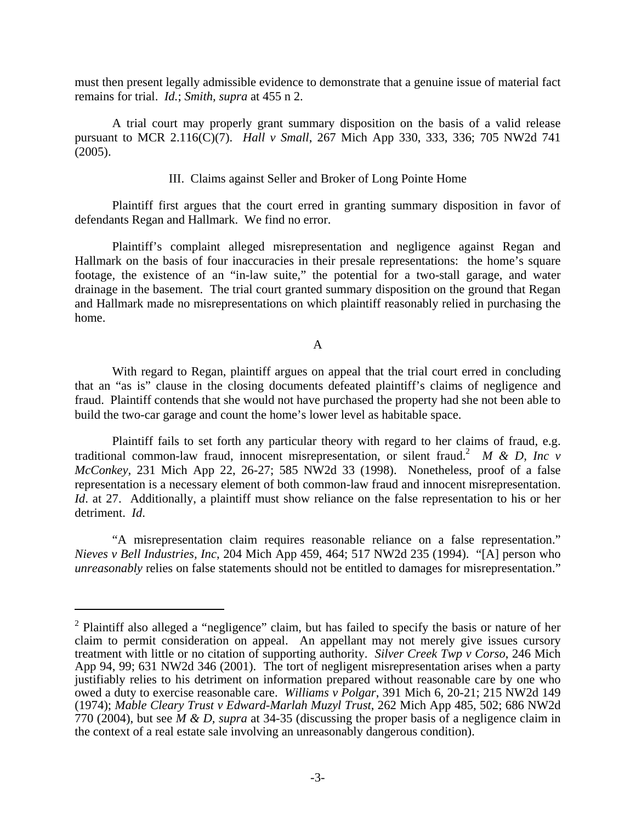must then present legally admissible evidence to demonstrate that a genuine issue of material fact remains for trial. *Id.*; *Smith, supra* at 455 n 2.

A trial court may properly grant summary disposition on the basis of a valid release pursuant to MCR 2.116(C)(7). *Hall v Small*, 267 Mich App 330, 333, 336; 705 NW2d 741 (2005).

### III. Claims against Seller and Broker of Long Pointe Home

Plaintiff first argues that the court erred in granting summary disposition in favor of defendants Regan and Hallmark. We find no error.

Plaintiff's complaint alleged misrepresentation and negligence against Regan and Hallmark on the basis of four inaccuracies in their presale representations: the home's square footage, the existence of an "in-law suite," the potential for a two-stall garage, and water drainage in the basement. The trial court granted summary disposition on the ground that Regan and Hallmark made no misrepresentations on which plaintiff reasonably relied in purchasing the home.

A

With regard to Regan, plaintiff argues on appeal that the trial court erred in concluding that an "as is" clause in the closing documents defeated plaintiff's claims of negligence and fraud. Plaintiff contends that she would not have purchased the property had she not been able to build the two-car garage and count the home's lower level as habitable space.

traditional common-law fraud, innocent misrepresentation, or silent fraud.<sup>2</sup> *M & D, Inc v* Plaintiff fails to set forth any particular theory with regard to her claims of fraud, e.g. *McConkey,* 231 Mich App 22, 26-27; 585 NW2d 33 (1998). Nonetheless, proof of a false representation is a necessary element of both common-law fraud and innocent misrepresentation. *Id.* at 27. Additionally, a plaintiff must show reliance on the false representation to his or her detriment. *Id*.

"A misrepresentation claim requires reasonable reliance on a false representation." *Nieves v Bell Industries, Inc*, 204 Mich App 459, 464; 517 NW2d 235 (1994). "[A] person who *unreasonably* relies on false statements should not be entitled to damages for misrepresentation."

 $\overline{a}$ 

<sup>&</sup>lt;sup>2</sup> Plaintiff also alleged a "negligence" claim, but has failed to specify the basis or nature of her claim to permit consideration on appeal. An appellant may not merely give issues cursory treatment with little or no citation of supporting authority. *Silver Creek Twp v Corso*, 246 Mich App 94, 99; 631 NW2d 346 (2001). The tort of negligent misrepresentation arises when a party justifiably relies to his detriment on information prepared without reasonable care by one who owed a duty to exercise reasonable care. *Williams v Polgar*, 391 Mich 6, 20-21; 215 NW2d 149 (1974); *Mable Cleary Trust v Edward-Marlah Muzyl Trust*, 262 Mich App 485, 502; 686 NW2d 770 (2004), but see *M & D, supra* at 34-35 (discussing the proper basis of a negligence claim in the context of a real estate sale involving an unreasonably dangerous condition).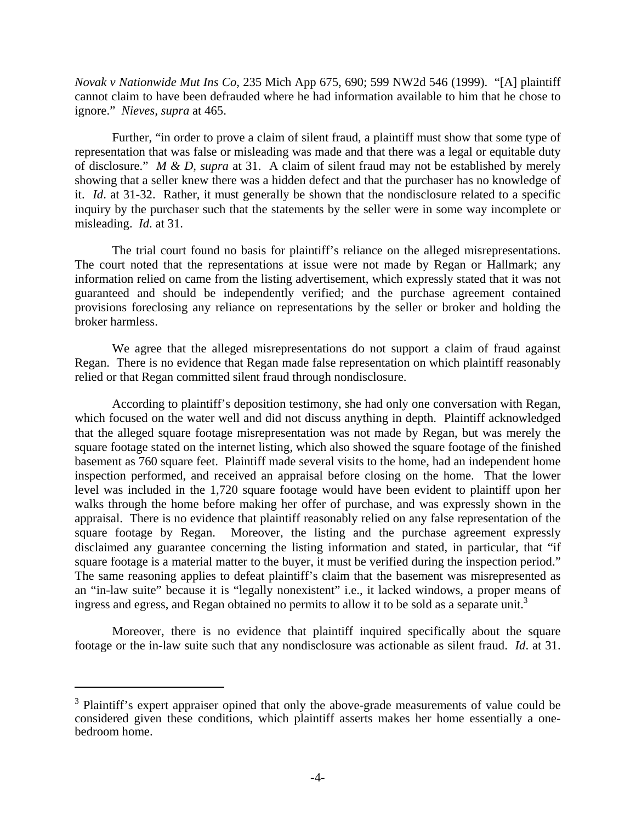*Novak v Nationwide Mut Ins Co*, 235 Mich App 675, 690; 599 NW2d 546 (1999). "[A] plaintiff cannot claim to have been defrauded where he had information available to him that he chose to ignore." *Nieves, supra* at 465.

Further, "in order to prove a claim of silent fraud, a plaintiff must show that some type of representation that was false or misleading was made and that there was a legal or equitable duty of disclosure." *M & D, supra* at 31. A claim of silent fraud may not be established by merely showing that a seller knew there was a hidden defect and that the purchaser has no knowledge of it. *Id*. at 31-32. Rather, it must generally be shown that the nondisclosure related to a specific inquiry by the purchaser such that the statements by the seller were in some way incomplete or misleading. *Id*. at 31.

The trial court found no basis for plaintiff's reliance on the alleged misrepresentations. The court noted that the representations at issue were not made by Regan or Hallmark; any information relied on came from the listing advertisement, which expressly stated that it was not guaranteed and should be independently verified; and the purchase agreement contained provisions foreclosing any reliance on representations by the seller or broker and holding the broker harmless.

We agree that the alleged misrepresentations do not support a claim of fraud against Regan. There is no evidence that Regan made false representation on which plaintiff reasonably relied or that Regan committed silent fraud through nondisclosure.

ingress and egress, and Regan obtained no permits to allow it to be sold as a separate unit.<sup>3</sup> According to plaintiff's deposition testimony, she had only one conversation with Regan, which focused on the water well and did not discuss anything in depth. Plaintiff acknowledged that the alleged square footage misrepresentation was not made by Regan, but was merely the square footage stated on the internet listing, which also showed the square footage of the finished basement as 760 square feet. Plaintiff made several visits to the home, had an independent home inspection performed, and received an appraisal before closing on the home. That the lower level was included in the 1,720 square footage would have been evident to plaintiff upon her walks through the home before making her offer of purchase, and was expressly shown in the appraisal. There is no evidence that plaintiff reasonably relied on any false representation of the square footage by Regan. Moreover, the listing and the purchase agreement expressly disclaimed any guarantee concerning the listing information and stated, in particular, that "if square footage is a material matter to the buyer, it must be verified during the inspection period." The same reasoning applies to defeat plaintiff's claim that the basement was misrepresented as an "in-law suite" because it is "legally nonexistent" i.e., it lacked windows, a proper means of

Moreover, there is no evidence that plaintiff inquired specifically about the square footage or the in-law suite such that any nondisclosure was actionable as silent fraud. *Id*. at 31.

1

<sup>&</sup>lt;sup>3</sup> Plaintiff's expert appraiser opined that only the above-grade measurements of value could be considered given these conditions, which plaintiff asserts makes her home essentially a onebedroom home.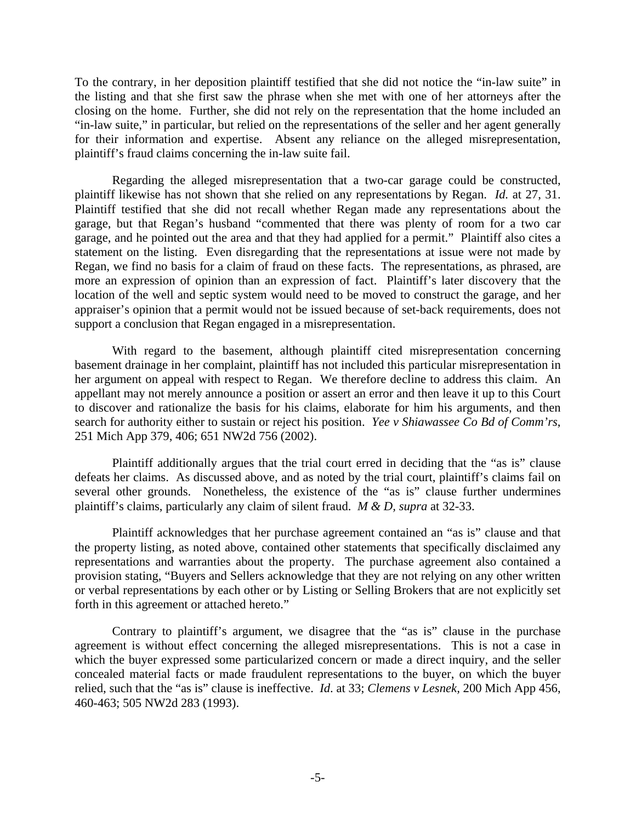To the contrary, in her deposition plaintiff testified that she did not notice the "in-law suite" in the listing and that she first saw the phrase when she met with one of her attorneys after the closing on the home. Further, she did not rely on the representation that the home included an "in-law suite," in particular, but relied on the representations of the seller and her agent generally for their information and expertise. Absent any reliance on the alleged misrepresentation, plaintiff's fraud claims concerning the in-law suite fail.

Regarding the alleged misrepresentation that a two-car garage could be constructed, plaintiff likewise has not shown that she relied on any representations by Regan. *Id.* at 27, 31. Plaintiff testified that she did not recall whether Regan made any representations about the garage, but that Regan's husband "commented that there was plenty of room for a two car garage, and he pointed out the area and that they had applied for a permit." Plaintiff also cites a statement on the listing. Even disregarding that the representations at issue were not made by Regan, we find no basis for a claim of fraud on these facts. The representations, as phrased, are more an expression of opinion than an expression of fact. Plaintiff's later discovery that the location of the well and septic system would need to be moved to construct the garage, and her appraiser's opinion that a permit would not be issued because of set-back requirements, does not support a conclusion that Regan engaged in a misrepresentation.

With regard to the basement, although plaintiff cited misrepresentation concerning basement drainage in her complaint, plaintiff has not included this particular misrepresentation in her argument on appeal with respect to Regan. We therefore decline to address this claim. An appellant may not merely announce a position or assert an error and then leave it up to this Court to discover and rationalize the basis for his claims, elaborate for him his arguments, and then search for authority either to sustain or reject his position. *Yee v Shiawassee Co Bd of Comm'rs*, 251 Mich App 379, 406; 651 NW2d 756 (2002).

Plaintiff additionally argues that the trial court erred in deciding that the "as is" clause defeats her claims. As discussed above, and as noted by the trial court, plaintiff's claims fail on several other grounds. Nonetheless, the existence of the "as is" clause further undermines plaintiff's claims, particularly any claim of silent fraud. *M & D, supra* at 32-33.

Plaintiff acknowledges that her purchase agreement contained an "as is" clause and that the property listing, as noted above, contained other statements that specifically disclaimed any representations and warranties about the property. The purchase agreement also contained a provision stating, "Buyers and Sellers acknowledge that they are not relying on any other written or verbal representations by each other or by Listing or Selling Brokers that are not explicitly set forth in this agreement or attached hereto."

Contrary to plaintiff's argument, we disagree that the "as is" clause in the purchase agreement is without effect concerning the alleged misrepresentations. This is not a case in which the buyer expressed some particularized concern or made a direct inquiry, and the seller concealed material facts or made fraudulent representations to the buyer, on which the buyer relied, such that the "as is" clause is ineffective. *Id*. at 33; *Clemens v Lesnek,* 200 Mich App 456, 460-463; 505 NW2d 283 (1993).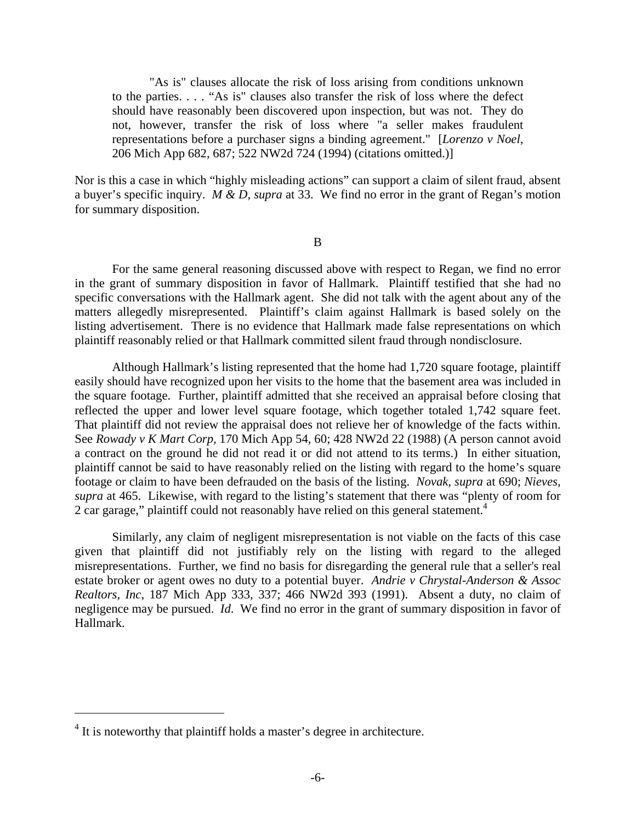"As is" clauses allocate the risk of loss arising from conditions unknown to the parties. . . . "As is" clauses also transfer the risk of loss where the defect should have reasonably been discovered upon inspection, but was not. They do not, however, transfer the risk of loss where "a seller makes fraudulent representations before a purchaser signs a binding agreement." [*Lorenzo v Noel*, 206 Mich App 682, 687; 522 NW2d 724 (1994) (citations omitted.)]

Nor is this a case in which "highly misleading actions" can support a claim of silent fraud, absent a buyer's specific inquiry. *M & D, supra* at 33. We find no error in the grant of Regan's motion for summary disposition.

B

For the same general reasoning discussed above with respect to Regan, we find no error in the grant of summary disposition in favor of Hallmark. Plaintiff testified that she had no specific conversations with the Hallmark agent. She did not talk with the agent about any of the matters allegedly misrepresented. Plaintiff's claim against Hallmark is based solely on the listing advertisement. There is no evidence that Hallmark made false representations on which plaintiff reasonably relied or that Hallmark committed silent fraud through nondisclosure.

2 car garage," plaintiff could not reasonably have relied on this general statement.<sup>4</sup> Although Hallmark's listing represented that the home had 1,720 square footage, plaintiff easily should have recognized upon her visits to the home that the basement area was included in the square footage. Further, plaintiff admitted that she received an appraisal before closing that reflected the upper and lower level square footage, which together totaled 1,742 square feet. That plaintiff did not review the appraisal does not relieve her of knowledge of the facts within. See *Rowady v K Mart Corp,* 170 Mich App 54, 60; 428 NW2d 22 (1988) (A person cannot avoid a contract on the ground he did not read it or did not attend to its terms.) In either situation, plaintiff cannot be said to have reasonably relied on the listing with regard to the home's square footage or claim to have been defrauded on the basis of the listing. *Novak, supra* at 690; *Nieves, supra* at 465. Likewise, with regard to the listing's statement that there was "plenty of room for

Similarly, any claim of negligent misrepresentation is not viable on the facts of this case given that plaintiff did not justifiably rely on the listing with regard to the alleged misrepresentations. Further, we find no basis for disregarding the general rule that a seller's real estate broker or agent owes no duty to a potential buyer. *Andrie v Chrystal-Anderson & Assoc Realtors, Inc*, 187 Mich App 333, 337; 466 NW2d 393 (1991). Absent a duty, no claim of negligence may be pursued. *Id*. We find no error in the grant of summary disposition in favor of Hallmark.

<u>.</u>

 $4$  It is noteworthy that plaintiff holds a master's degree in architecture.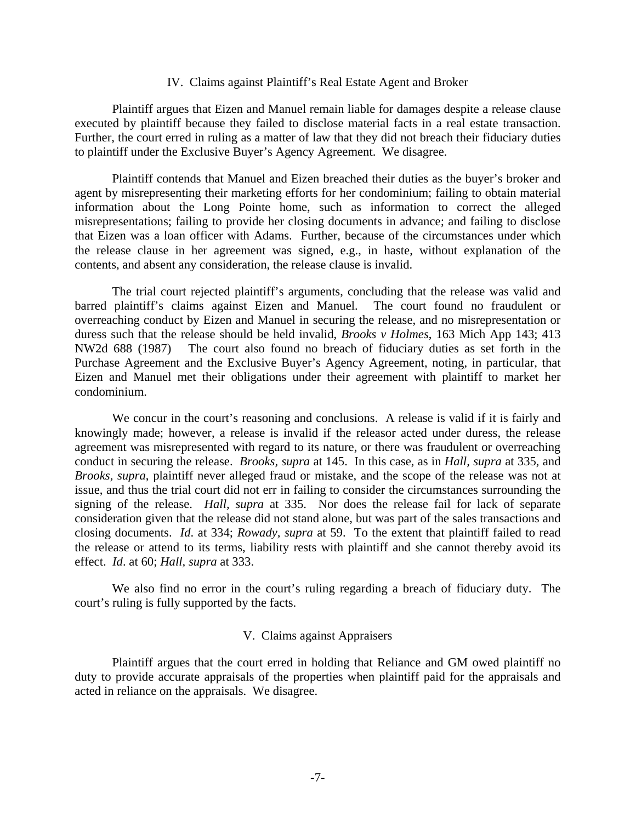#### IV. Claims against Plaintiff's Real Estate Agent and Broker

executed by plaintiff because they failed to disclose material facts in a real estate transaction. Plaintiff argues that Eizen and Manuel remain liable for damages despite a release clause Further, the court erred in ruling as a matter of law that they did not breach their fiduciary duties to plaintiff under the Exclusive Buyer's Agency Agreement. We disagree.

Plaintiff contends that Manuel and Eizen breached their duties as the buyer's broker and agent by misrepresenting their marketing efforts for her condominium; failing to obtain material information about the Long Pointe home, such as information to correct the alleged misrepresentations; failing to provide her closing documents in advance; and failing to disclose that Eizen was a loan officer with Adams. Further, because of the circumstances under which the release clause in her agreement was signed, e.g., in haste, without explanation of the contents, and absent any consideration, the release clause is invalid.

The trial court rejected plaintiff's arguments, concluding that the release was valid and barred plaintiff's claims against Eizen and Manuel. The court found no fraudulent or overreaching conduct by Eizen and Manuel in securing the release, and no misrepresentation or duress such that the release should be held invalid, *Brooks v Holmes*, 163 Mich App 143; 413 NW2d 688 (1987) The court also found no breach of fiduciary duties as set forth in the Purchase Agreement and the Exclusive Buyer's Agency Agreement, noting, in particular, that Eizen and Manuel met their obligations under their agreement with plaintiff to market her condominium.

We concur in the court's reasoning and conclusions. A release is valid if it is fairly and knowingly made; however, a release is invalid if the releasor acted under duress, the release agreement was misrepresented with regard to its nature, or there was fraudulent or overreaching conduct in securing the release. *Brooks, supra* at 145. In this case, as in *Hall, supra* at 335, and *Brooks, supra*, plaintiff never alleged fraud or mistake, and the scope of the release was not at issue, and thus the trial court did not err in failing to consider the circumstances surrounding the signing of the release. *Hall, supra* at 335. Nor does the release fail for lack of separate consideration given that the release did not stand alone, but was part of the sales transactions and closing documents. *Id*. at 334; *Rowady, supra* at 59. To the extent that plaintiff failed to read the release or attend to its terms, liability rests with plaintiff and she cannot thereby avoid its effect. *Id*. at 60; *Hall, supra* at 333.

We also find no error in the court's ruling regarding a breach of fiduciary duty. The court's ruling is fully supported by the facts.

### V. Claims against Appraisers

Plaintiff argues that the court erred in holding that Reliance and GM owed plaintiff no duty to provide accurate appraisals of the properties when plaintiff paid for the appraisals and acted in reliance on the appraisals. We disagree.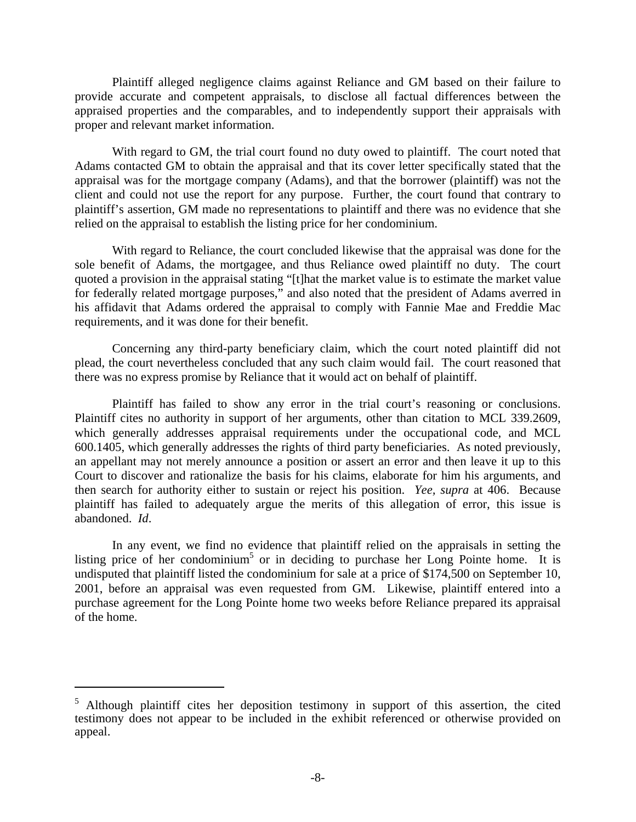Plaintiff alleged negligence claims against Reliance and GM based on their failure to provide accurate and competent appraisals, to disclose all factual differences between the appraised properties and the comparables, and to independently support their appraisals with proper and relevant market information.

relied on the appraisal to establish the listing price for her condominium. With regard to GM, the trial court found no duty owed to plaintiff. The court noted that Adams contacted GM to obtain the appraisal and that its cover letter specifically stated that the appraisal was for the mortgage company (Adams), and that the borrower (plaintiff) was not the client and could not use the report for any purpose. Further, the court found that contrary to plaintiff's assertion, GM made no representations to plaintiff and there was no evidence that she

With regard to Reliance, the court concluded likewise that the appraisal was done for the sole benefit of Adams, the mortgagee, and thus Reliance owed plaintiff no duty. The court quoted a provision in the appraisal stating "[t]hat the market value is to estimate the market value for federally related mortgage purposes," and also noted that the president of Adams averred in his affidavit that Adams ordered the appraisal to comply with Fannie Mae and Freddie Mac requirements, and it was done for their benefit.

Concerning any third-party beneficiary claim, which the court noted plaintiff did not plead, the court nevertheless concluded that any such claim would fail. The court reasoned that there was no express promise by Reliance that it would act on behalf of plaintiff.

Plaintiff has failed to show any error in the trial court's reasoning or conclusions. Plaintiff cites no authority in support of her arguments, other than citation to MCL 339.2609, which generally addresses appraisal requirements under the occupational code, and MCL 600.1405, which generally addresses the rights of third party beneficiaries. As noted previously, an appellant may not merely announce a position or assert an error and then leave it up to this Court to discover and rationalize the basis for his claims, elaborate for him his arguments, and then search for authority either to sustain or reject his position. *Yee, supra* at 406. Because plaintiff has failed to adequately argue the merits of this allegation of error, this issue is abandoned. *Id*.

In any event, we find no evidence that plaintiff relied on the appraisals in setting the listing price of her condominium<sup>5</sup> or in deciding to purchase her Long Pointe home. It is undisputed that plaintiff listed the condominium for sale at a price of \$174,500 on September 10, 2001, before an appraisal was even requested from GM. Likewise, plaintiff entered into a purchase agreement for the Long Pointe home two weeks before Reliance prepared its appraisal of the home.

 $\overline{a}$ 

<sup>&</sup>lt;sup>5</sup> Although plaintiff cites her deposition testimony in support of this assertion, the cited testimony does not appear to be included in the exhibit referenced or otherwise provided on appeal.